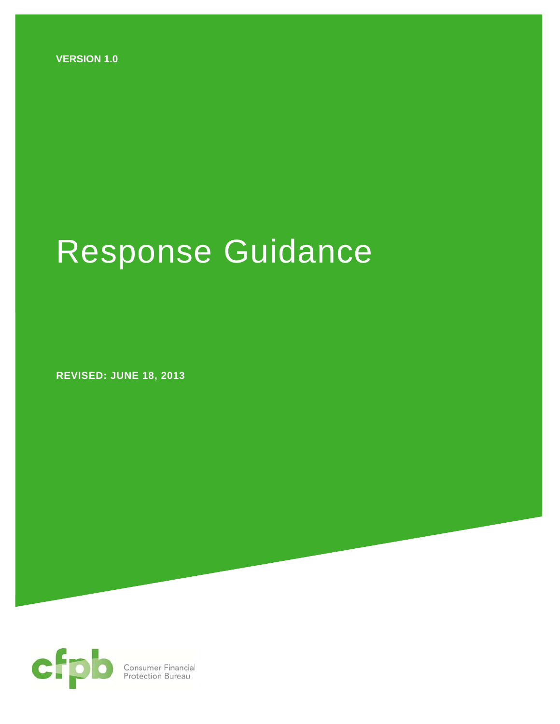**VERSION 1.0** 

# Response Guidance

 **REVISED: JUNE 18, 2013** 

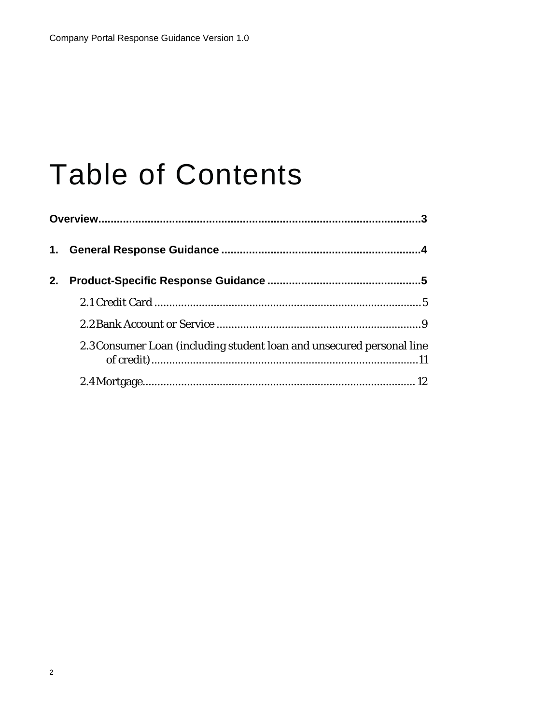## **Table of Contents**

| 2. |                                                                       |
|----|-----------------------------------------------------------------------|
|    |                                                                       |
|    |                                                                       |
|    | 2.3 Consumer Loan (including student loan and unsecured personal line |
|    |                                                                       |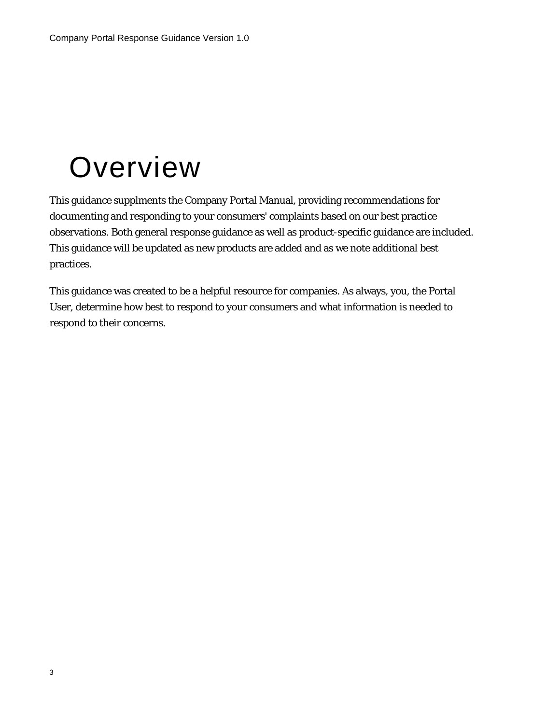## **Overview**

This guidance supplments the Company Portal Manual, providing recommendations for documenting and responding to your consumers' complaints based on our best practice observations. Both general response guidance as well as product-specific guidance are included. This guidance will be updated as new products are added and as we note additional best practices.

This guidance was created to be a helpful resource for companies. As always, you, the Portal User, determine how best to respond to your consumers and what information is needed to respond to their concerns.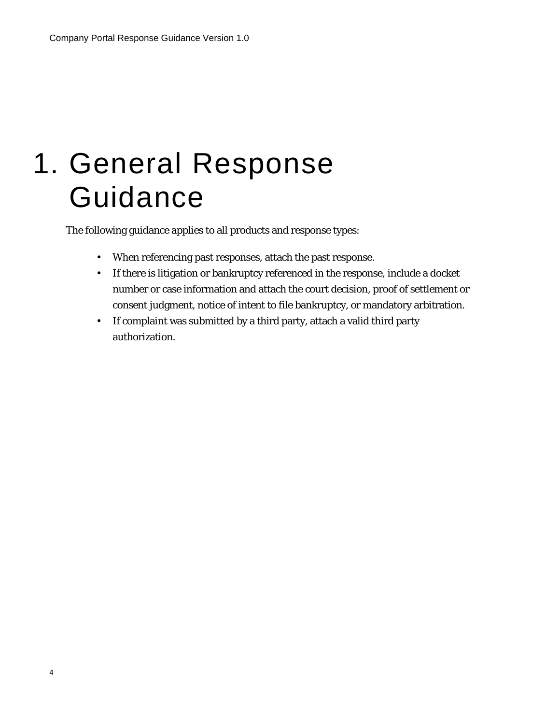## 1. General Response Guidance

The following guidance applies to all products and response types:

- When referencing past responses, attach the past response.
- If there is litigation or bankruptcy referenced in the response, include a docket number or case information and attach the court decision, proof of settlement or consent judgment, notice of intent to file bankruptcy, or mandatory arbitration.
- If complaint was submitted by a third party, attach a valid third party authorization.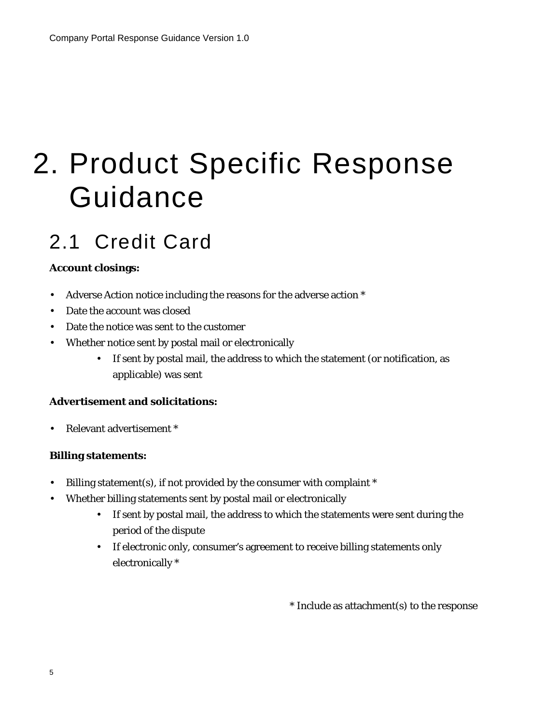## 2. Product Specific Response Guidance

### 2.1 Credit Card

#### **Account closings:**

- Adverse Action notice including the reasons for the adverse action \*
- Date the account was closed
- Date the notice was sent to the customer
- Whether notice sent by postal mail or electronically
	- If sent by postal mail, the address to which the statement (or notification, as applicable) was sent

#### **Advertisement and solicitations:**

• Relevant advertisement \*

#### **Billing statements:**

- Billing statement(s), if not provided by the consumer with complaint \*
- Whether billing statements sent by postal mail or electronically
	- If sent by postal mail, the address to which the statements were sent during the period of the dispute
	- If electronic only, consumer's agreement to receive billing statements only electronically \*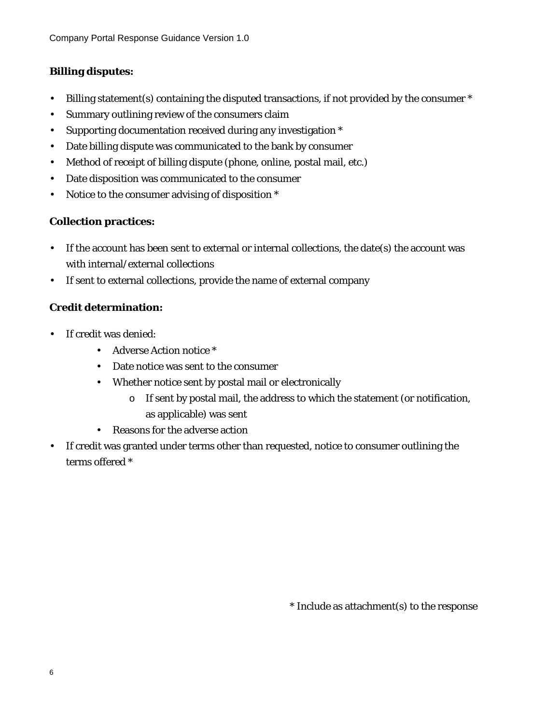#### **Billing disputes:**

- Billing statement(s) containing the disputed transactions, if not provided by the consumer \*
- Summary outlining review of the consumers claim
- Supporting documentation received during any investigation \*
- Date billing dispute was communicated to the bank by consumer
- Method of receipt of billing dispute (phone, online, postal mail, etc.)
- Date disposition was communicated to the consumer
- Notice to the consumer advising of disposition \*

#### **Collection practices:**

- If the account has been sent to external or internal collections, the date(s) the account was with internal/external collections
- If sent to external collections, provide the name of external company

#### **Credit determination:**

- If credit was denied:
	- Adverse Action notice \*
	- Date notice was sent to the consumer
	- Whether notice sent by postal mail or electronically
		- o If sent by postal mail, the address to which the statement (or notification, as applicable) was sent
	- Reasons for the adverse action
- If credit was granted under terms other than requested, notice to consumer outlining the terms offered \*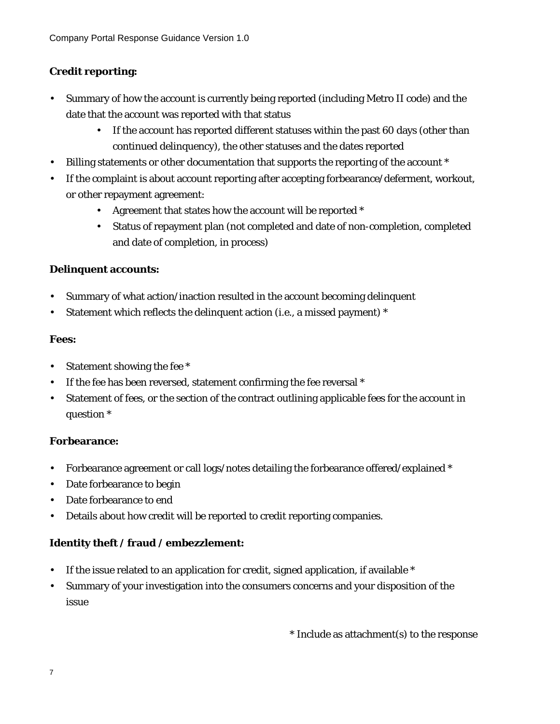#### **Credit reporting:**

- Summary of how the account is currently being reported (including Metro II code) and the date that the account was reported with that status
	- If the account has reported different statuses within the past 60 days (other than continued delinquency), the other statuses and the dates reported
- Billing statements or other documentation that supports the reporting of the account \*
- If the complaint is about account reporting after accepting forbearance/deferment, workout, or other repayment agreement:
	- Agreement that states how the account will be reported \*
	- Status of repayment plan (not completed and date of non-completion, completed and date of completion, in process)

#### **Delinquent accounts:**

- Summary of what action/inaction resulted in the account becoming delinquent
- Statement which reflects the delinquent action (i.e., a missed payment) \*

#### **Fees:**

- Statement showing the fee \*
- If the fee has been reversed, statement confirming the fee reversal \*
- Statement of fees, or the section of the contract outlining applicable fees for the account in question \*

#### **Forbearance:**

- Forbearance agreement or call logs/notes detailing the forbearance offered/explained \*
- Date forbearance to begin
- Date forbearance to end
- Details about how credit will be reported to credit reporting companies.

#### **Identity theft / fraud / embezzlement:**

- If the issue related to an application for credit, signed application, if available  $*$
- Summary of your investigation into the consumers concerns and your disposition of the issue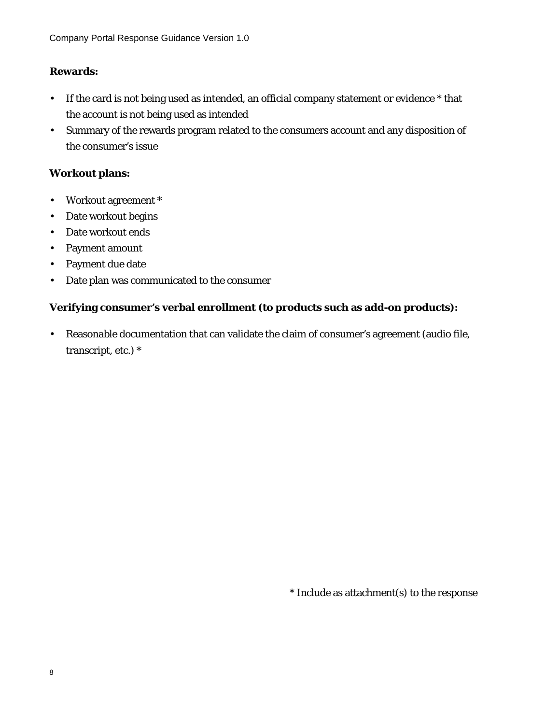#### **Rewards:**

- If the card is not being used as intended, an official company statement or evidence \* that the account is not being used as intended
- Summary of the rewards program related to the consumers account and any disposition of the consumer's issue

#### **Workout plans:**

- Workout agreement \*
- Date workout begins
- Date workout ends
- Payment amount
- Payment due date
- Date plan was communicated to the consumer

#### **Verifying consumer's verbal enrollment (to products such as add-on products):**

• Reasonable documentation that can validate the claim of consumer's agreement (audio file, transcript, etc.) \*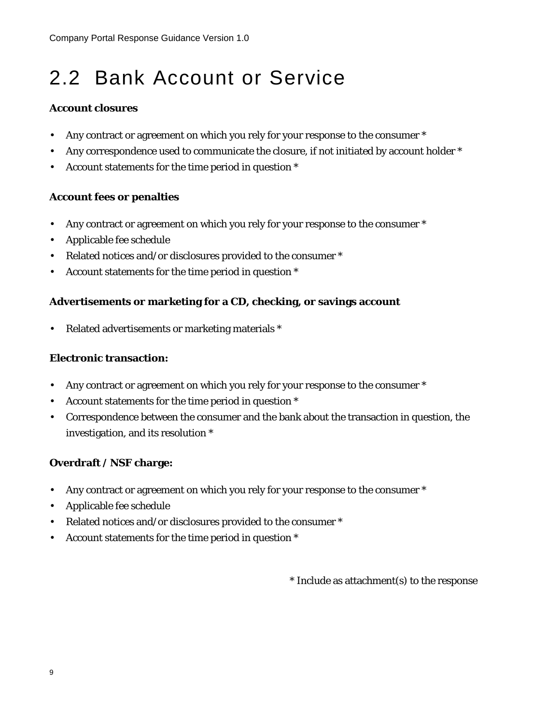### 2.2 Bank Account or Service

#### **Account closures**

- Any contract or agreement on which you rely for your response to the consumer  $*$
- Any correspondence used to communicate the closure, if not initiated by account holder \*
- Account statements for the time period in question \*

#### **Account fees or penalties**

- Any contract or agreement on which you rely for your response to the consumer \*
- Applicable fee schedule
- Related notices and/or disclosures provided to the consumer \*
- Account statements for the time period in question \*

#### **Advertisements or marketing for a CD, checking, or savings account**

• Related advertisements or marketing materials \*

#### **Electronic transaction:**

- Any contract or agreement on which you rely for your response to the consumer  $*$
- Account statements for the time period in question \*
- Correspondence between the consumer and the bank about the transaction in question, the investigation, and its resolution \*

#### **Overdraft / NSF charge:**

- Any contract or agreement on which you rely for your response to the consumer  $*$
- Applicable fee schedule
- Related notices and/or disclosures provided to the consumer \*
- Account statements for the time period in question \*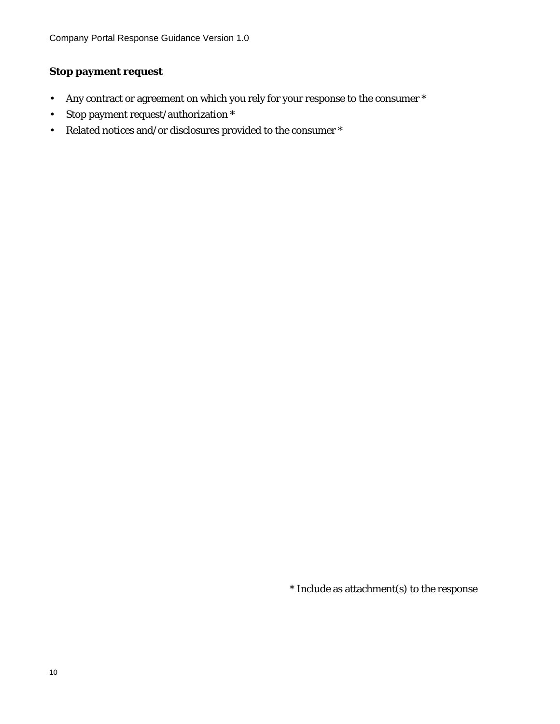#### **Stop payment request**

- Any contract or agreement on which you rely for your response to the consumer \*
- Stop payment request/authorization \*
- Related notices and/or disclosures provided to the consumer  $^\ast$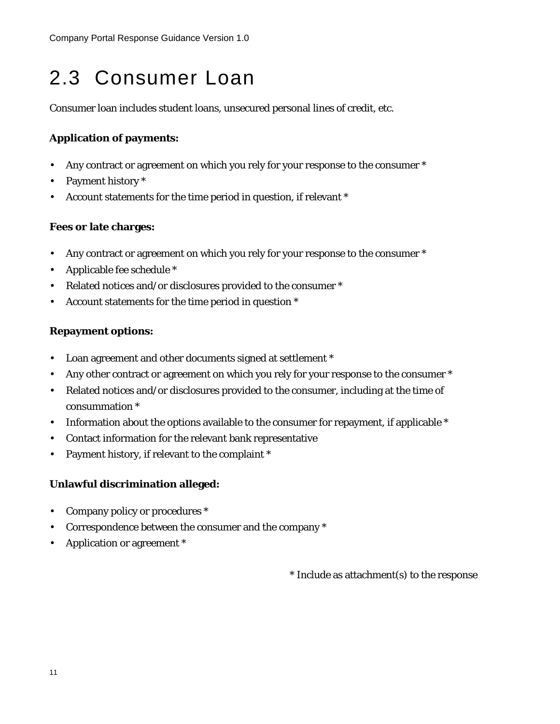### 2.3 Consumer Loan

Consumer loan includes student loans, unsecured personal lines of credit, etc.

#### **Application of payments:**

- Any contract or agreement on which you rely for your response to the consumer  $*$
- Payment history \*
- Account statements for the time period in question, if relevant \*

#### **Fees or late charges:**

- Any contract or agreement on which you rely for your response to the consumer  $*$
- Applicable fee schedule \*
- Related notices and/or disclosures provided to the consumer \*
- Account statements for the time period in question \*

#### **Repayment options:**

- Loan agreement and other documents signed at settlement \*
- Any other contract or agreement on which you rely for your response to the consumer  $*$
- Related notices and/or disclosures provided to the consumer, including at the time of consummation \*
- Information about the options available to the consumer for repayment, if applicable \*
- Contact information for the relevant bank representative
- Payment history, if relevant to the complaint \*

#### **Unlawful discrimination alleged:**

- Company policy or procedures \*
- Correspondence between the consumer and the company \*
- Application or agreement \*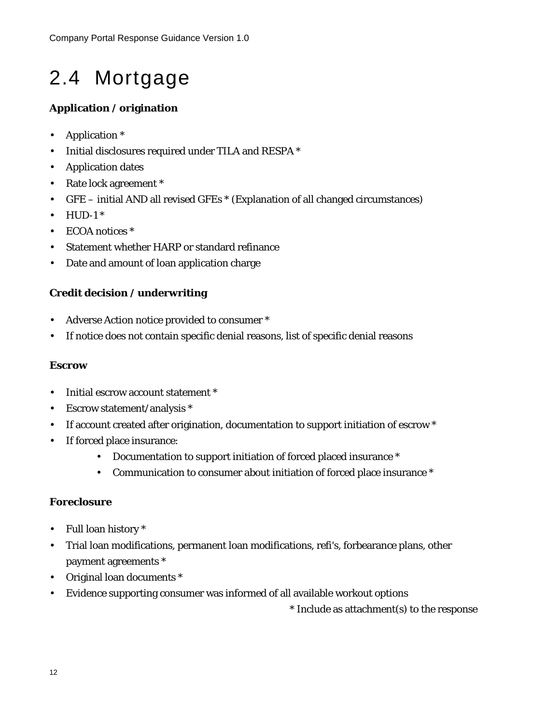### 2.4 Mortgage

#### **Application / origination**

- Application \*
- Initial disclosures required under TILA and RESPA \*
- Application dates
- Rate lock agreement \*
- GFE initial AND all revised GFEs \* (Explanation of all changed circumstances)
- $\bullet$  HUD-1  $\ast$
- ECOA notices \*
- Statement whether HARP or standard refinance
- Date and amount of loan application charge

#### **Credit decision / underwriting**

- Adverse Action notice provided to consumer \*
- If notice does not contain specific denial reasons, list of specific denial reasons

#### **Escrow**

- Initial escrow account statement \*
- Escrow statement/analysis \*
- If account created after origination, documentation to support initiation of escrow \*
- If forced place insurance:
	- Documentation to support initiation of forced placed insurance \*
	- Communication to consumer about initiation of forced place insurance \*

#### **Foreclosure**

- Full loan history \*
- Trial loan modifications, permanent loan modifications, refi's, forbearance plans, other payment agreements \*
- Original loan documents \*
- Evidence supporting consumer was informed of all available workout options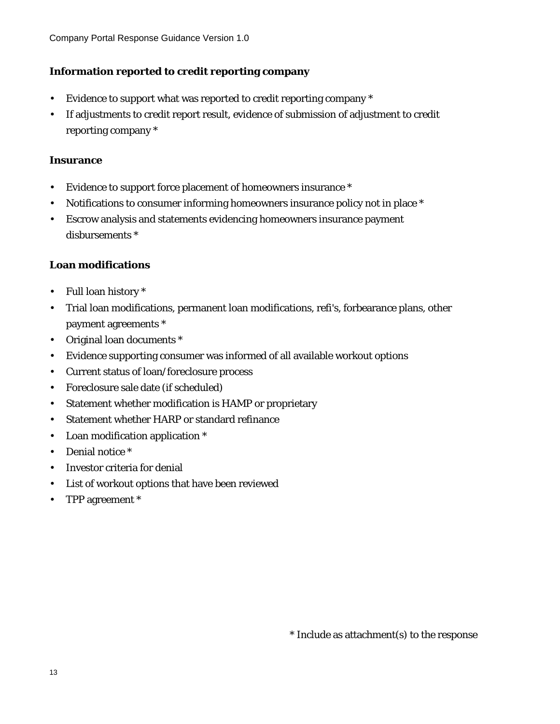#### **Information reported to credit reporting company**

- Evidence to support what was reported to credit reporting company  $*$
- If adjustments to credit report result, evidence of submission of adjustment to credit reporting company \*

#### **Insurance**

- Evidence to support force placement of homeowners insurance \*
- Notifications to consumer informing homeowners insurance policy not in place \*
- Escrow analysis and statements evidencing homeowners insurance payment disbursements \*

#### **Loan modifications**

- Full loan history \*
- Trial loan modifications, permanent loan modifications, refi's, forbearance plans, other payment agreements \*
- Original loan documents \*
- Evidence supporting consumer was informed of all available workout options
- Current status of loan/foreclosure process
- Foreclosure sale date (if scheduled)
- Statement whether modification is HAMP or proprietary
- Statement whether HARP or standard refinance
- Loan modification application \*
- Denial notice \*
- Investor criteria for denial
- List of workout options that have been reviewed
- TPP agreement \*